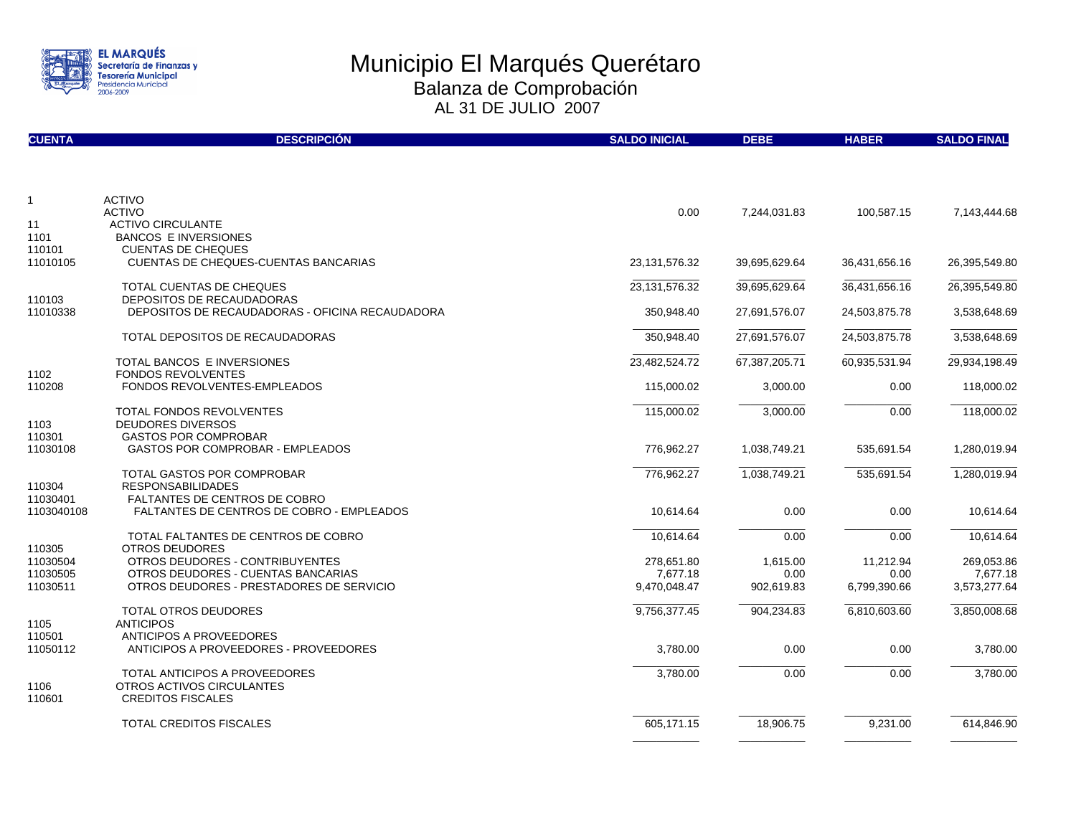

| <b>CUENTA</b>          | <b>DESCRIPCIÓN</b>                                                                       | <b>SALDO INICIAL</b>   | <b>DEBE</b>      | <b>HABER</b>      | <b>SALDO FINAL</b>     |
|------------------------|------------------------------------------------------------------------------------------|------------------------|------------------|-------------------|------------------------|
|                        |                                                                                          |                        |                  |                   |                        |
| $\mathbf{1}$           | <b>ACTIVO</b>                                                                            |                        |                  |                   |                        |
| 11                     | <b>ACTIVO</b><br><b>ACTIVO CIRCULANTE</b>                                                | 0.00                   | 7,244,031.83     | 100,587.15        | 7,143,444.68           |
| 1101                   | <b>BANCOS E INVERSIONES</b>                                                              |                        |                  |                   |                        |
| 110101                 | <b>CUENTAS DE CHEQUES</b>                                                                |                        |                  |                   |                        |
| 11010105               | CUENTAS DE CHEQUES-CUENTAS BANCARIAS                                                     | 23,131,576.32          | 39,695,629.64    | 36,431,656.16     | 26,395,549.80          |
|                        | TOTAL CUENTAS DE CHEQUES                                                                 | 23, 131, 576. 32       | 39,695,629.64    | 36,431,656.16     | 26,395,549.80          |
| 110103                 | DEPOSITOS DE RECAUDADORAS                                                                |                        |                  |                   |                        |
| 11010338               | DEPOSITOS DE RECAUDADORAS - OFICINA RECAUDADORA                                          | 350,948.40             | 27,691,576.07    | 24,503,875.78     | 3,538,648.69           |
|                        | TOTAL DEPOSITOS DE RECAUDADORAS                                                          | 350,948.40             | 27,691,576.07    | 24,503,875.78     | 3,538,648.69           |
|                        | TOTAL BANCOS E INVERSIONES                                                               | 23,482,524.72          | 67,387,205.71    | 60,935,531.94     | 29,934,198.49          |
| 1102                   | <b>FONDOS REVOLVENTES</b>                                                                |                        |                  |                   |                        |
| 110208                 | FONDOS REVOLVENTES-EMPLEADOS                                                             | 115,000.02             | 3,000.00         | 0.00              | 118,000.02             |
|                        | <b>TOTAL FONDOS REVOLVENTES</b>                                                          | 115,000.02             | 3,000.00         | 0.00              | 118,000.02             |
| 1103                   | <b>DEUDORES DIVERSOS</b>                                                                 |                        |                  |                   |                        |
| 110301<br>11030108     | <b>GASTOS POR COMPROBAR</b><br><b>GASTOS POR COMPROBAR - EMPLEADOS</b>                   | 776,962.27             | 1,038,749.21     | 535,691.54        | 1,280,019.94           |
|                        |                                                                                          |                        |                  |                   |                        |
|                        | TOTAL GASTOS POR COMPROBAR                                                               | 776,962.27             | 1,038,749.21     | 535,691.54        | 1,280,019.94           |
| 110304                 | <b>RESPONSABILIDADES</b>                                                                 |                        |                  |                   |                        |
| 11030401<br>1103040108 | <b>FALTANTES DE CENTROS DE COBRO</b><br><b>FALTANTES DE CENTROS DE COBRO - EMPLEADOS</b> | 10,614.64              | 0.00             | 0.00              | 10,614.64              |
|                        |                                                                                          |                        |                  |                   |                        |
|                        | TOTAL FALTANTES DE CENTROS DE COBRO                                                      | 10,614.64              | 0.00             | 0.00              | 10,614.64              |
| 110305                 | <b>OTROS DEUDORES</b>                                                                    |                        |                  |                   |                        |
| 11030504<br>11030505   | OTROS DEUDORES - CONTRIBUYENTES<br>OTROS DEUDORES - CUENTAS BANCARIAS                    | 278,651.80<br>7.677.18 | 1,615.00<br>0.00 | 11,212.94<br>0.00 | 269,053.86<br>7.677.18 |
| 11030511               | OTROS DEUDORES - PRESTADORES DE SERVICIO                                                 | 9,470,048.47           | 902,619.83       | 6,799,390.66      | 3,573,277.64           |
|                        |                                                                                          |                        |                  |                   |                        |
|                        | <b>TOTAL OTROS DEUDORES</b>                                                              | 9,756,377.45           | 904,234.83       | 6,810,603.60      | 3,850,008.68           |
| 1105                   | <b>ANTICIPOS</b>                                                                         |                        |                  |                   |                        |
| 110501<br>11050112     | ANTICIPOS A PROVEEDORES<br>ANTICIPOS A PROVEEDORES - PROVEEDORES                         | 3,780.00               | 0.00             | 0.00              | 3,780.00               |
|                        |                                                                                          |                        |                  |                   |                        |
|                        | <b>TOTAL ANTICIPOS A PROVEEDORES</b>                                                     | 3,780.00               | 0.00             | 0.00              | 3,780.00               |
| 1106<br>110601         | OTROS ACTIVOS CIRCULANTES<br><b>CREDITOS FISCALES</b>                                    |                        |                  |                   |                        |
|                        |                                                                                          |                        |                  |                   |                        |
|                        | TOTAL CREDITOS FISCALES                                                                  | 605,171.15             | 18,906.75        | 9,231.00          | 614,846.90             |
|                        |                                                                                          |                        |                  |                   |                        |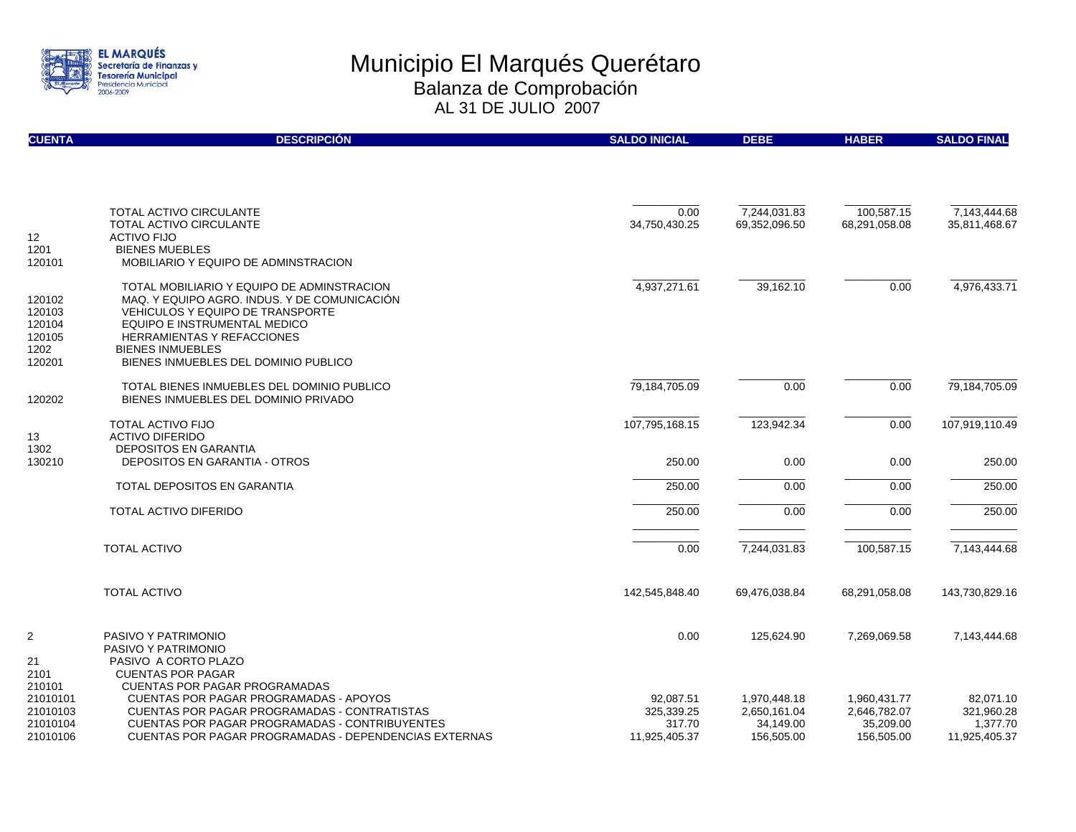

| <b>CUENTA</b>                                          | <b>DESCRIPCIÓN</b>                                                                                                                                                                                                                                                            | <b>SALDO INICIAL</b>                               | <b>DEBE</b>                                             | <b>HABER</b>                                            | <b>SALDO FINAL</b>                                   |
|--------------------------------------------------------|-------------------------------------------------------------------------------------------------------------------------------------------------------------------------------------------------------------------------------------------------------------------------------|----------------------------------------------------|---------------------------------------------------------|---------------------------------------------------------|------------------------------------------------------|
|                                                        |                                                                                                                                                                                                                                                                               |                                                    |                                                         |                                                         |                                                      |
| 12                                                     | <b>TOTAL ACTIVO CIRCULANTE</b><br><b>TOTAL ACTIVO CIRCULANTE</b><br><b>ACTIVO FIJO</b>                                                                                                                                                                                        | 0.00<br>34,750,430.25                              | 7,244,031.83<br>69,352,096.50                           | 100,587.15<br>68,291,058.08                             | 7.143.444.68<br>35,811,468.67                        |
| 1201<br>120101                                         | <b>BIENES MUEBLES</b><br>MOBILIARIO Y EQUIPO DE ADMINSTRACION                                                                                                                                                                                                                 |                                                    |                                                         |                                                         |                                                      |
| 120102<br>120103<br>120104<br>120105<br>1202<br>120201 | TOTAL MOBILIARIO Y EQUIPO DE ADMINSTRACION<br>MAQ. Y EQUIPO AGRO. INDUS. Y DE COMUNICACIÓN<br><b>VEHICULOS Y EQUIPO DE TRANSPORTE</b><br>EQUIPO E INSTRUMENTAL MEDICO<br><b>HERRAMIENTAS Y REFACCIONES</b><br><b>BIENES INMUEBLES</b><br>BIENES INMUEBLES DEL DOMINIO PUBLICO | 4,937,271.61                                       | 39,162.10                                               | 0.00                                                    | 4,976,433.71                                         |
| 120202                                                 | TOTAL BIENES INMUEBLES DEL DOMINIO PUBLICO<br>BIENES INMUEBLES DEL DOMINIO PRIVADO                                                                                                                                                                                            | 79,184,705.09                                      | 0.00                                                    | 0.00                                                    | 79,184,705.09                                        |
| 13<br>1302                                             | <b>TOTAL ACTIVO FIJO</b><br><b>ACTIVO DIFERIDO</b><br><b>DEPOSITOS EN GARANTIA</b>                                                                                                                                                                                            | 107,795,168.15                                     | 123,942.34                                              | 0.00                                                    | 107,919,110.49                                       |
| 130210                                                 | <b>DEPOSITOS EN GARANTIA - OTROS</b>                                                                                                                                                                                                                                          | 250.00                                             | 0.00                                                    | 0.00                                                    | 250.00                                               |
|                                                        | <b>TOTAL DEPOSITOS EN GARANTIA</b>                                                                                                                                                                                                                                            | 250.00                                             | 0.00                                                    | 0.00                                                    | 250.00                                               |
|                                                        | <b>TOTAL ACTIVO DIFERIDO</b>                                                                                                                                                                                                                                                  | 250.00                                             | 0.00                                                    | 0.00                                                    | 250.00                                               |
|                                                        | <b>TOTAL ACTIVO</b>                                                                                                                                                                                                                                                           | 0.00                                               | 7,244,031.83                                            | 100,587.15                                              | 7,143,444.68                                         |
|                                                        | <b>TOTAL ACTIVO</b>                                                                                                                                                                                                                                                           | 142,545,848.40                                     | 69,476,038.84                                           | 68,291,058.08                                           | 143,730,829.16                                       |
| 2<br>21<br>2101                                        | PASIVO Y PATRIMONIO<br>PASIVO Y PATRIMONIO<br>PASIVO A CORTO PLAZO<br><b>CUENTAS POR PAGAR</b>                                                                                                                                                                                | 0.00                                               | 125,624.90                                              | 7,269,069.58                                            | 7,143,444.68                                         |
| 210101<br>21010101<br>21010103<br>21010104<br>21010106 | <b>CUENTAS POR PAGAR PROGRAMADAS</b><br><b>CUENTAS POR PAGAR PROGRAMADAS - APOYOS</b><br>CUENTAS POR PAGAR PROGRAMADAS - CONTRATISTAS<br><b>CUENTAS POR PAGAR PROGRAMADAS - CONTRIBUYENTES</b><br>CUENTAS POR PAGAR PROGRAMADAS - DEPENDENCIAS EXTERNAS                       | 92,087.51<br>325,339.25<br>317.70<br>11,925,405.37 | 1,970,448.18<br>2,650,161.04<br>34,149.00<br>156,505.00 | 1,960,431.77<br>2,646,782.07<br>35,209.00<br>156,505.00 | 82,071.10<br>321,960.28<br>1.377.70<br>11,925,405.37 |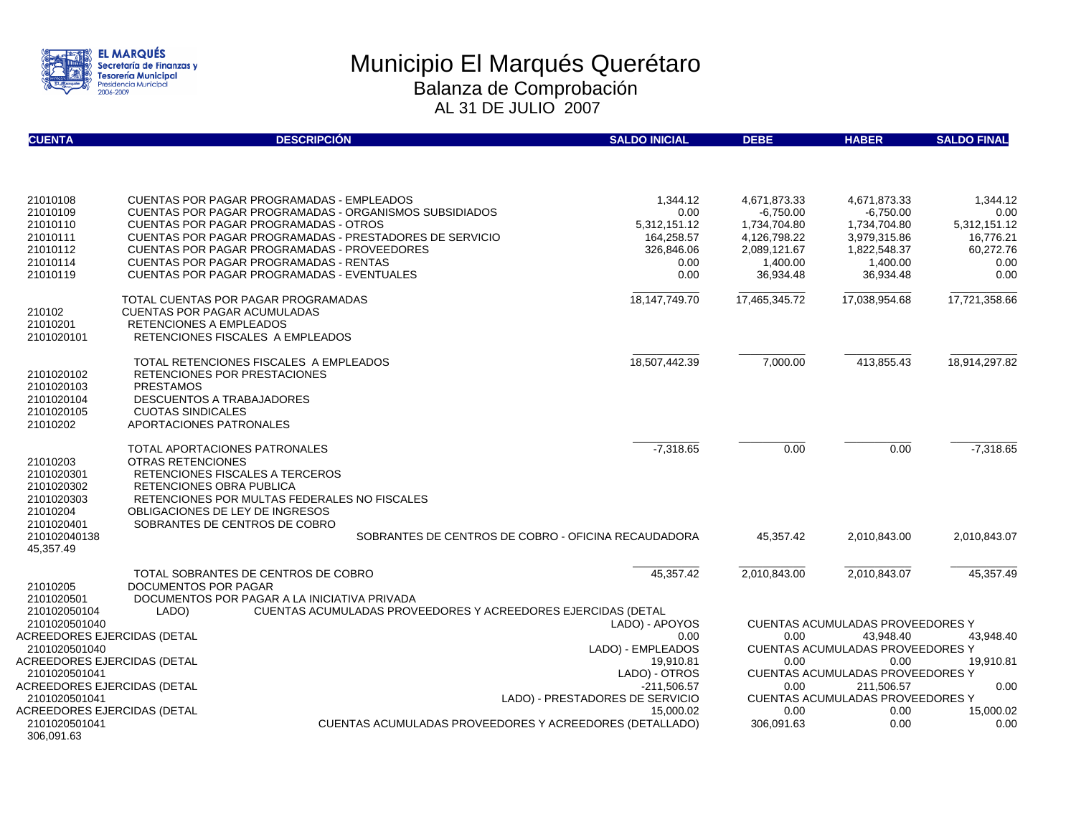

| <b>CUENTA</b>                                | <b>DESCRIPCIÓN</b>                                                                                  | <b>SALDO INICIAL</b>                         | <b>DEBE</b>           | <b>HABER</b>                                    | <b>SALDO FINAL</b> |
|----------------------------------------------|-----------------------------------------------------------------------------------------------------|----------------------------------------------|-----------------------|-------------------------------------------------|--------------------|
|                                              |                                                                                                     |                                              |                       |                                                 |                    |
| 21010108                                     | <b>CUENTAS POR PAGAR PROGRAMADAS - EMPLEADOS</b>                                                    | 1,344.12                                     | 4,671,873.33          | 4,671,873.33                                    | 1,344.12           |
| 21010109                                     | <b>CUENTAS POR PAGAR PROGRAMADAS - ORGANISMOS SUBSIDIADOS</b>                                       | 0.00                                         | $-6,750.00$           | $-6,750.00$                                     | 0.00               |
| 21010110                                     | <b>CUENTAS POR PAGAR PROGRAMADAS - OTROS</b>                                                        | 5,312,151.12                                 | 1,734,704.80          | 1,734,704.80                                    | 5,312,151.12       |
| 21010111                                     | CUENTAS POR PAGAR PROGRAMADAS - PRESTADORES DE SERVICIO                                             | 164,258.57                                   | 4,126,798.22          | 3,979,315.86                                    | 16,776.21          |
| 21010112<br>21010114                         | <b>CUENTAS POR PAGAR PROGRAMADAS - PROVEEDORES</b><br><b>CUENTAS POR PAGAR PROGRAMADAS - RENTAS</b> | 326,846.06<br>0.00                           | 2,089,121.67          | 1,822,548.37                                    | 60,272.76          |
| 21010119                                     | <b>CUENTAS POR PAGAR PROGRAMADAS - EVENTUALES</b>                                                   | 0.00                                         | 1,400.00<br>36,934.48 | 1,400.00<br>36,934.48                           | 0.00<br>0.00       |
|                                              |                                                                                                     |                                              |                       |                                                 |                    |
|                                              | TOTAL CUENTAS POR PAGAR PROGRAMADAS                                                                 | 18, 147, 749. 70                             | 17,465,345.72         | 17,038,954.68                                   | 17,721,358.66      |
| 210102                                       | <b>CUENTAS POR PAGAR ACUMULADAS</b>                                                                 |                                              |                       |                                                 |                    |
| 21010201                                     | RETENCIONES A EMPLEADOS                                                                             |                                              |                       |                                                 |                    |
| 2101020101                                   | RETENCIONES FISCALES A EMPLEADOS                                                                    |                                              |                       |                                                 |                    |
|                                              | TOTAL RETENCIONES FISCALES A EMPLEADOS                                                              | 18,507,442.39                                | 7,000.00              | 413,855.43                                      | 18,914,297.82      |
| 2101020102                                   | RETENCIONES POR PRESTACIONES                                                                        |                                              |                       |                                                 |                    |
| 2101020103                                   | <b>PRESTAMOS</b>                                                                                    |                                              |                       |                                                 |                    |
| 2101020104                                   | DESCUENTOS A TRABAJADORES                                                                           |                                              |                       |                                                 |                    |
| 2101020105                                   | <b>CUOTAS SINDICALES</b>                                                                            |                                              |                       |                                                 |                    |
| 21010202                                     | APORTACIONES PATRONALES                                                                             |                                              |                       |                                                 |                    |
|                                              | <b>TOTAL APORTACIONES PATRONALES</b>                                                                | $-7,318.65$                                  | 0.00                  | 0.00                                            | $-7,318.65$        |
| 21010203                                     | <b>OTRAS RETENCIONES</b>                                                                            |                                              |                       |                                                 |                    |
| 2101020301                                   | RETENCIONES FISCALES A TERCEROS                                                                     |                                              |                       |                                                 |                    |
| 2101020302                                   | RETENCIONES OBRA PUBLICA                                                                            |                                              |                       |                                                 |                    |
| 2101020303                                   | RETENCIONES POR MULTAS FEDERALES NO FISCALES                                                        |                                              |                       |                                                 |                    |
| 21010204                                     | OBLIGACIONES DE LEY DE INGRESOS                                                                     |                                              |                       |                                                 |                    |
| 2101020401                                   | SOBRANTES DE CENTROS DE COBRO                                                                       |                                              |                       |                                                 |                    |
| 210102040138                                 | SOBRANTES DE CENTROS DE COBRO - OFICINA RECAUDADORA                                                 |                                              | 45.357.42             | 2.010.843.00                                    | 2.010.843.07       |
| 45,357.49                                    |                                                                                                     |                                              |                       |                                                 |                    |
|                                              | TOTAL SOBRANTES DE CENTROS DE COBRO                                                                 | 45,357.42                                    | 2,010,843.00          | 2,010,843.07                                    | 45,357.49          |
| 21010205                                     | DOCUMENTOS POR PAGAR                                                                                |                                              |                       |                                                 |                    |
| 2101020501                                   | DOCUMENTOS POR PAGAR A LA INICIATIVA PRIVADA                                                        |                                              |                       |                                                 |                    |
| 210102050104                                 | CUENTAS ACUMULADAS PROVEEDORES Y ACREEDORES EJERCIDAS (DETAL<br>LADO)                               |                                              |                       |                                                 |                    |
| 2101020501040                                |                                                                                                     | LADO) - APOYOS                               |                       | <b>CUENTAS ACUMULADAS PROVEEDORES Y</b>         |                    |
| ACREEDORES EJERCIDAS (DETAL                  |                                                                                                     | 0.00                                         | 0.00                  | 43.948.40                                       | 43.948.40          |
| 2101020501040                                |                                                                                                     | LADO) - EMPLEADOS                            |                       | <b>CUENTAS ACUMULADAS PROVEEDORES Y</b>         |                    |
| ACREEDORES EJERCIDAS (DETAL                  |                                                                                                     | 19.910.81                                    | 0.00                  | 0.00                                            | 19.910.81          |
| 2101020501041                                |                                                                                                     | LADO) - OTROS                                |                       | <b>CUENTAS ACUMULADAS PROVEEDORES Y</b>         |                    |
| ACREEDORES EJERCIDAS (DETAL                  |                                                                                                     | $-211,506.57$                                | 0.00                  | 211.506.57                                      | 0.00               |
| 2101020501041<br>ACREEDORES EJERCIDAS (DETAL |                                                                                                     | LADO) - PRESTADORES DE SERVICIO<br>15.000.02 | 0.00                  | <b>CUENTAS ACUMULADAS PROVEEDORES Y</b><br>0.00 | 15,000.02          |
| 2101020501041                                | <b>CUENTAS ACUMULADAS PROVEEDORES Y ACREEDORES (DETALLADO)</b>                                      |                                              | 306,091.63            | 0.00                                            | 0.00               |
| 306,091.63                                   |                                                                                                     |                                              |                       |                                                 |                    |
|                                              |                                                                                                     |                                              |                       |                                                 |                    |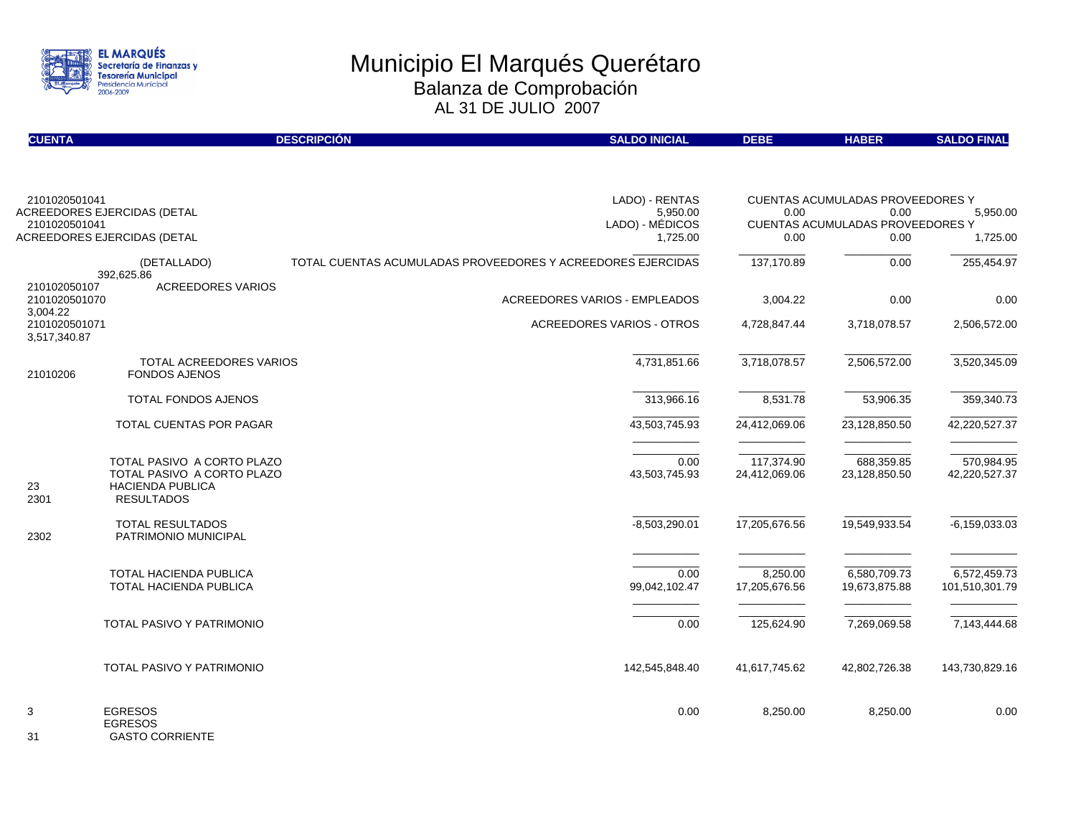

| <b>CUENTA</b>                             |                                                                                                   | <b>DESCRIPCIÓN</b> | <b>SALDO INICIAL</b>                                        | <b>DEBE</b>                 | <b>HABER</b>                                    | <b>SALDO FINAL</b>             |
|-------------------------------------------|---------------------------------------------------------------------------------------------------|--------------------|-------------------------------------------------------------|-----------------------------|-------------------------------------------------|--------------------------------|
|                                           |                                                                                                   |                    |                                                             |                             |                                                 |                                |
| 2101020501041                             | <b>ACREEDORES EJERCIDAS (DETAL</b>                                                                |                    | LADO) - RENTAS                                              | 0.00                        | CUENTAS ACUMULADAS PROVEEDORES Y                |                                |
| 2101020501041                             |                                                                                                   |                    | 5,950.00<br>LADO) - MÉDICOS                                 |                             | 0.00<br><b>CUENTAS ACUMULADAS PROVEEDORES Y</b> | 5,950.00                       |
|                                           | ACREEDORES EJERCIDAS (DETAL                                                                       |                    | 1,725.00                                                    | 0.00                        | 0.00                                            | 1,725.00                       |
|                                           | (DETALLADO)<br>392.625.86                                                                         |                    | TOTAL CUENTAS ACUMULADAS PROVEEDORES Y ACREEDORES EJERCIDAS | 137,170.89                  | 0.00                                            | 255,454.97                     |
| 210102050107<br>2101020501070<br>3,004.22 | <b>ACREEDORES VARIOS</b>                                                                          |                    | <b>ACREEDORES VARIOS - EMPLEADOS</b>                        | 3,004.22                    | 0.00                                            | 0.00                           |
| 2101020501071<br>3,517,340.87             |                                                                                                   |                    | ACREEDORES VARIOS - OTROS                                   | 4,728,847.44                | 3,718,078.57                                    | 2,506,572.00                   |
| 21010206                                  | TOTAL ACREEDORES VARIOS<br><b>FONDOS AJENOS</b>                                                   |                    | 4,731,851.66                                                | 3,718,078.57                | 2,506,572.00                                    | 3,520,345.09                   |
|                                           | TOTAL FONDOS AJENOS                                                                               |                    | 313,966.16                                                  | 8,531.78                    | 53,906.35                                       | 359,340.73                     |
|                                           | TOTAL CUENTAS POR PAGAR                                                                           |                    | 43,503,745.93                                               | 24,412,069.06               | 23,128,850.50                                   | 42,220,527.37                  |
| 23<br>2301                                | TOTAL PASIVO A CORTO PLAZO<br>TOTAL PASIVO A CORTO PLAZO<br>HACIENDA PUBLICA<br><b>RESULTADOS</b> |                    | 0.00<br>43,503,745.93                                       | 117,374.90<br>24,412,069.06 | 688,359.85<br>23,128,850.50                     | 570,984.95<br>42,220,527.37    |
| 2302                                      | TOTAL RESULTADOS<br>PATRIMONIO MUNICIPAL                                                          |                    | $-8,503,290.01$                                             | 17,205,676.56               | 19,549,933.54                                   | $-6, 159, 033.03$              |
|                                           | <b>TOTAL HACIENDA PUBLICA</b><br>TOTAL HACIENDA PUBLICA                                           |                    | 0.00<br>99,042,102.47                                       | 8,250.00<br>17,205,676.56   | 6,580,709.73<br>19,673,875.88                   | 6,572,459.73<br>101,510,301.79 |
|                                           | <b>TOTAL PASIVO Y PATRIMONIO</b>                                                                  |                    | 0.00                                                        | 125,624.90                  | 7,269,069.58                                    | 7,143,444.68                   |
|                                           | TOTAL PASIVO Y PATRIMONIO                                                                         |                    | 142,545,848.40                                              | 41,617,745.62               | 42,802,726.38                                   | 143,730,829.16                 |
| 3                                         | <b>EGRESOS</b><br><b>EGRESOS</b>                                                                  |                    | 0.00                                                        | 8,250.00                    | 8,250.00                                        | 0.00                           |

31 GASTO CORRIENTE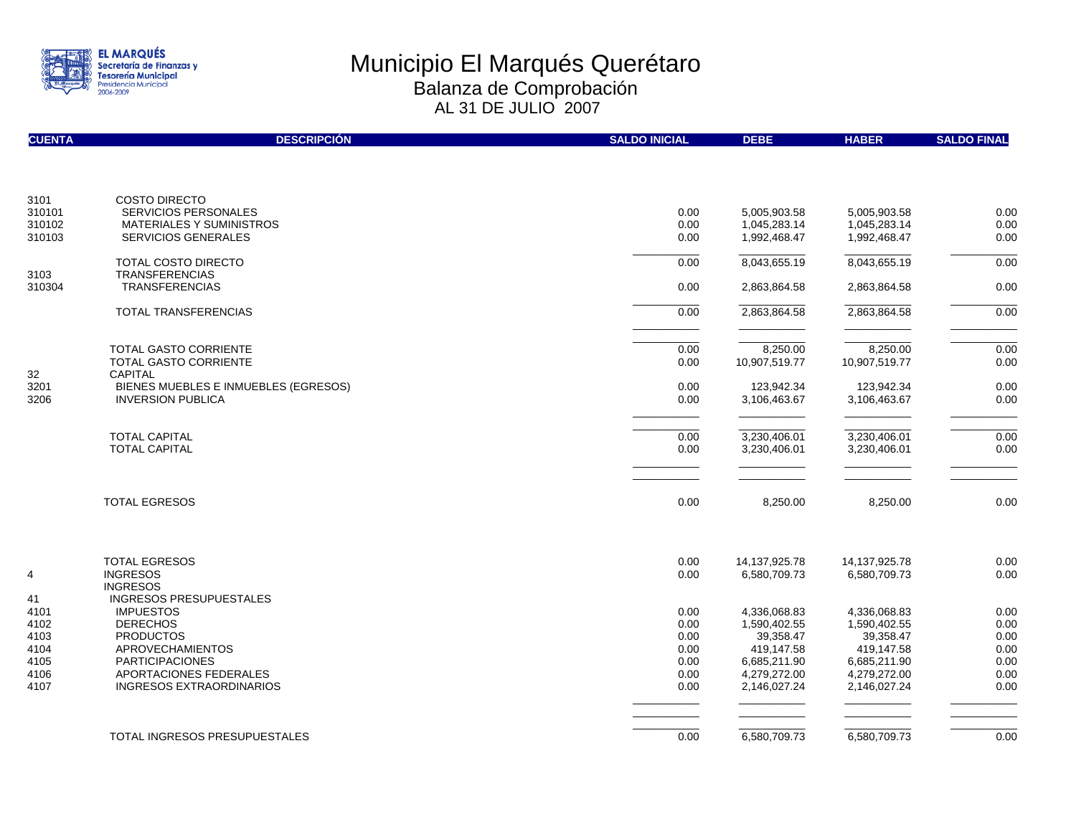

| <b>CUENTA</b>  | <b>DESCRIPCIÓN</b>                                  | <b>SALDO INICIAL</b> | <b>DEBE</b>                   | <b>HABER</b>                     | <b>SALDO FINAL</b> |
|----------------|-----------------------------------------------------|----------------------|-------------------------------|----------------------------------|--------------------|
|                |                                                     |                      |                               |                                  |                    |
| 3101<br>310101 | <b>COSTO DIRECTO</b><br><b>SERVICIOS PERSONALES</b> | 0.00                 | 5,005,903.58                  | 5,005,903.58                     | 0.00               |
| 310102         | <b>MATERIALES Y SUMINISTROS</b>                     | 0.00                 | 1,045,283.14                  | 1,045,283.14                     | 0.00               |
| 310103         | <b>SERVICIOS GENERALES</b>                          | 0.00                 | 1,992,468.47                  | 1,992,468.47                     | 0.00               |
|                | TOTAL COSTO DIRECTO                                 | 0.00                 | 8,043,655.19                  | 8,043,655.19                     | 0.00               |
| 3103<br>310304 | <b>TRANSFERENCIAS</b><br><b>TRANSFERENCIAS</b>      | 0.00                 | 2,863,864.58                  | 2,863,864.58                     | 0.00               |
|                | TOTAL TRANSFERENCIAS                                | 0.00                 | 2,863,864.58                  | 2,863,864.58                     | 0.00               |
|                |                                                     |                      |                               |                                  |                    |
|                | <b>TOTAL GASTO CORRIENTE</b>                        | 0.00                 | 8,250.00                      | 8,250.00                         | 0.00               |
| 32             | <b>TOTAL GASTO CORRIENTE</b><br>CAPITAL             | 0.00                 | 10,907,519.77                 | 10,907,519.77                    | 0.00               |
| 3201           | BIENES MUEBLES E INMUEBLES (EGRESOS)                | 0.00                 | 123,942.34                    | 123,942.34                       | 0.00               |
| 3206           | <b>INVERSION PUBLICA</b>                            | 0.00                 | 3,106,463.67                  | 3,106,463.67                     | 0.00               |
|                | <b>TOTAL CAPITAL</b>                                | 0.00                 | 3,230,406.01                  | 3,230,406.01                     | 0.00               |
|                | <b>TOTAL CAPITAL</b>                                | 0.00                 | 3,230,406.01                  | 3,230,406.01                     | 0.00               |
|                |                                                     |                      |                               |                                  |                    |
|                | <b>TOTAL EGRESOS</b>                                | 0.00                 | 8,250.00                      | 8,250.00                         | 0.00               |
|                | <b>TOTAL EGRESOS</b>                                |                      |                               |                                  |                    |
| 4              | <b>INGRESOS</b>                                     | 0.00<br>0.00         | 14,137,925.78<br>6,580,709.73 | 14, 137, 925. 78<br>6,580,709.73 | 0.00<br>0.00       |
|                | <b>INGRESOS</b>                                     |                      |                               |                                  |                    |
| 41             | INGRESOS PRESUPUESTALES                             |                      |                               |                                  |                    |
| 4101<br>4102   | <b>IMPUESTOS</b><br><b>DERECHOS</b>                 | 0.00<br>0.00         | 4,336,068.83<br>1,590,402.55  | 4,336,068.83<br>1,590,402.55     | 0.00<br>0.00       |
| 4103           | <b>PRODUCTOS</b>                                    | 0.00                 | 39,358.47                     | 39,358.47                        | 0.00               |
| 4104           | <b>APROVECHAMIENTOS</b>                             | 0.00                 | 419,147.58                    | 419,147.58                       | 0.00               |
| 4105           | <b>PARTICIPACIONES</b>                              | 0.00                 | 6,685,211.90                  | 6,685,211.90                     | 0.00               |
| 4106           | APORTACIONES FEDERALES                              | 0.00                 | 4,279,272.00                  | 4,279,272.00                     | 0.00               |
| 4107           | <b>INGRESOS EXTRAORDINARIOS</b>                     | 0.00                 | 2,146,027.24                  | 2,146,027.24                     | 0.00               |
|                |                                                     |                      |                               |                                  |                    |
|                | TOTAL INGRESOS PRESUPUESTALES                       | 0.00                 | 6,580,709.73                  | 6,580,709.73                     | 0.00               |